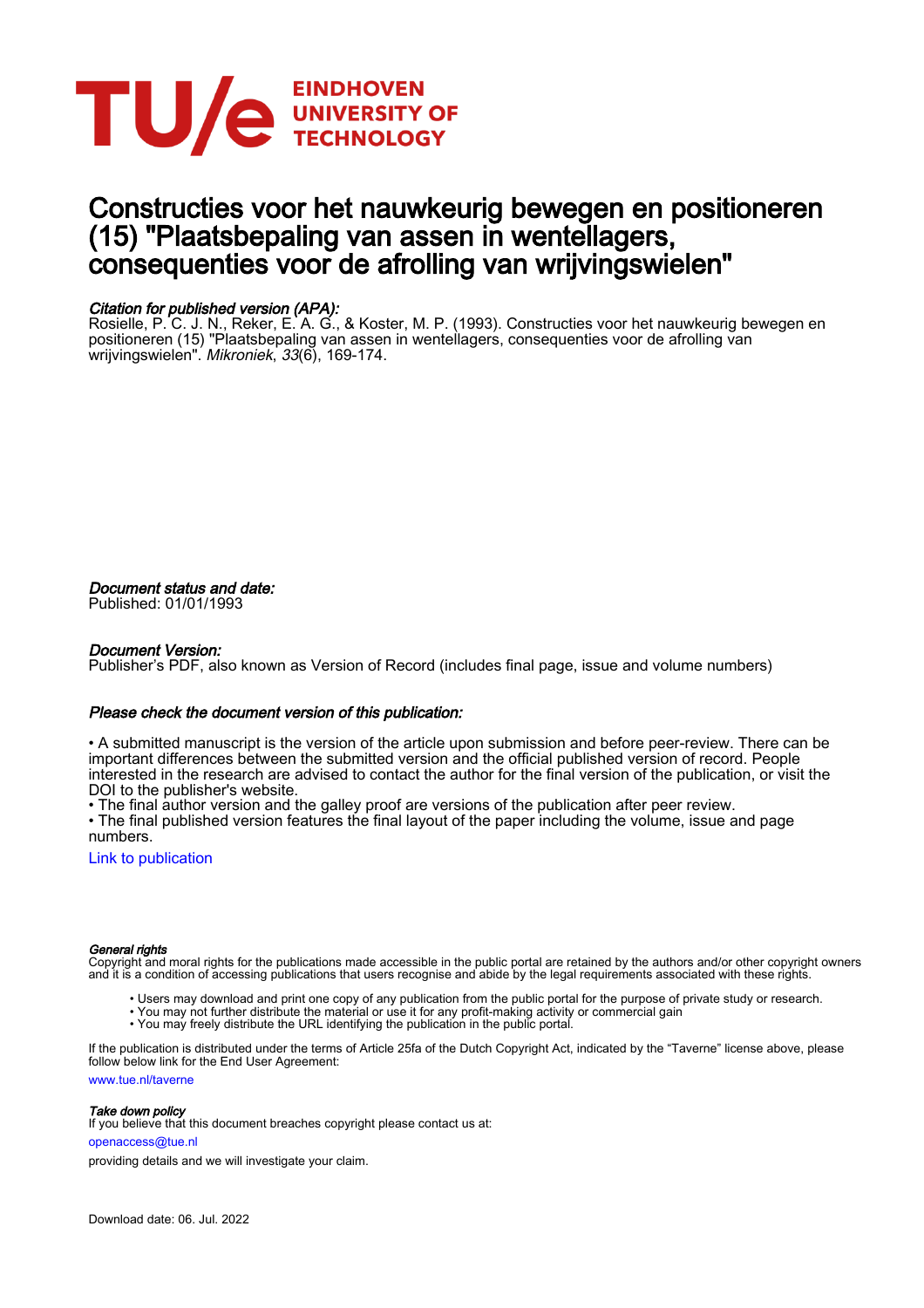

### Constructies voor het nauwkeurig bewegen en positioneren (15) "Plaatsbepaling van assen in wentellagers, consequenties voor de afrolling van wrijvingswielen"

### Citation for published version (APA):

Rosielle, P. C. J. N., Reker, E. A. G., & Koster, M. P. (1993). Constructies voor het nauwkeurig bewegen en positioneren (15) "Plaatsbepaling van assen in wentellagers, consequenties voor de afrolling van wrijvingswielen". *Mikroniek, 33*(6), 169-174.

Document status and date:

Published: 01/01/1993

### Document Version:

Publisher's PDF, also known as Version of Record (includes final page, issue and volume numbers)

### Please check the document version of this publication:

• A submitted manuscript is the version of the article upon submission and before peer-review. There can be important differences between the submitted version and the official published version of record. People interested in the research are advised to contact the author for the final version of the publication, or visit the DOI to the publisher's website.

• The final author version and the galley proof are versions of the publication after peer review.

• The final published version features the final layout of the paper including the volume, issue and page numbers.

[Link to publication](https://research.tue.nl/en/publications/b35f89e7-4700-4c9b-8c9b-3ef2224d21a3)

#### General rights

Copyright and moral rights for the publications made accessible in the public portal are retained by the authors and/or other copyright owners and it is a condition of accessing publications that users recognise and abide by the legal requirements associated with these rights.

- Users may download and print one copy of any publication from the public portal for the purpose of private study or research.
- You may not further distribute the material or use it for any profit-making activity or commercial gain
	- You may freely distribute the URL identifying the publication in the public portal.

If the publication is distributed under the terms of Article 25fa of the Dutch Copyright Act, indicated by the "Taverne" license above, please follow below link for the End User Agreement:

www.tue.nl/taverne

#### Take down policy

If you believe that this document breaches copyright please contact us at:

openaccess@tue.nl

providing details and we will investigate your claim.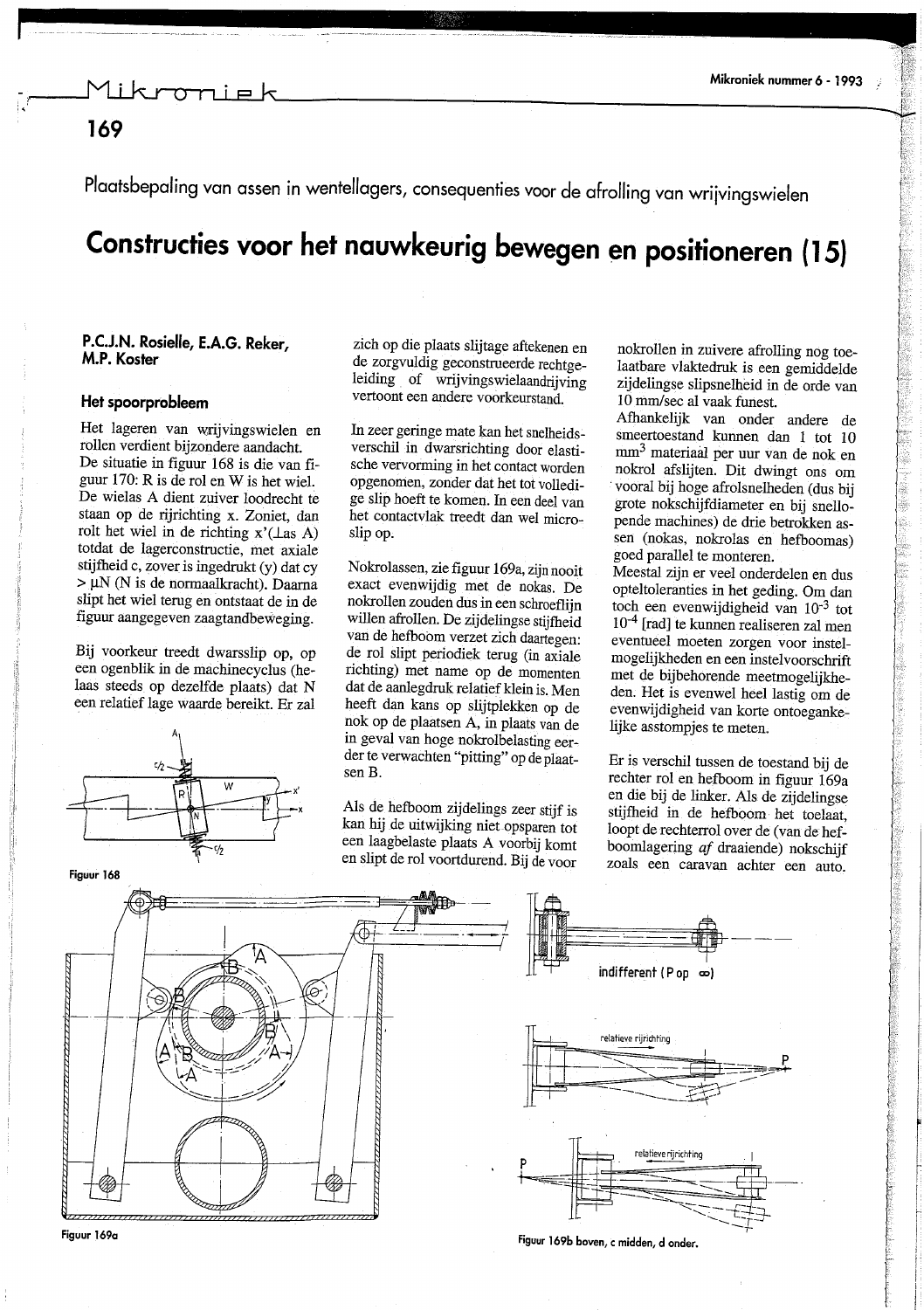### 169

Plaatsbepaling van assen in wentellagers, consequenties voor de afrolling van wrijvingswielen

# Constructies voor het nauwkeurig bewegen en positioneren (15)

### P.C.J.N. Rosielle, E.A.G. Reker, M.P. Koster

### Het spoorprobleem

Het lageren van wrijvingswielen en rollen verdient bijzondere aandacht. De situatie in figuur 168 is die van figuur 170: R is de rol en W is het wiel. De wielas A dient zuiver loodrecht te staan op de rijrichting x. Zoniet, dan rolt het wiel in de richting  $x'(\text{Las } A)$ totdat de lagerconstructie, met axiale stijfheid c, zover is ingedrukt (y) dat cy > µN (N is de normaalkracht). Daarna slipt het wiel terug en ontstaat de in de figuur aangegeven zaagtandbeweging.

Bij voorkeur treedt dwarsslip op, op een ogenblik in de machinecyclus (helaas steeds op dezelfde plaats) dat N een relatief lage waarde bereikt. Er zal



zich op die plaats slijtage aftekenen en de zorgvuldig geconstrueerde rechtgeleiding of wrijvingswielaandrijving vertoont een andere voorkeurstand.

In zeer geringe mate kan het snelheidsverschil in dwarsrichting door elastische vervorming in het contact worden opgenomen, zonder dat het tot volledige slip hoeft te komen. In een deel van het contactvlak treedt dan wel microslip op.

Nokrolassen, zie figuur 169a, zijn nooit exact evenwijdig met de nokas. De nokrollen zouden dus in een schroeflijn willen afrollen. De zijdelingse stijfheid van de hefboom verzet zich daartegen: de rol slipt periodiek terug (in axiale richting) met name op de momenten dat de aanlegdruk relatief klein is. Men heeft dan kans op slijtplekken op de nok op de plaatsen A, in plaats van de in geval van hoge nokrolbelasting eerder te verwachten "pitting" op de plaatsen B.

Als de hefboom zijdelings zeer stijf is kan hij de uitwijking niet opsparen tot een laagbelaste plaats A voorbij komt en slipt de rol voortdurend. Bij de voor

nokrollen in zuivere afrolling nog toelaatbare vlaktedruk is een gemiddelde zijdelingse slipsnelheid in de orde van 10 mm/sec al vaak funest.

S.

ú

Afhankelijk van onder andere de smeertoestand kunnen dan 1 tot 10 mm<sup>3</sup> materiaal per uur van de nok en nokrol afslijten. Dit dwingt ons om vooral bij hoge afrolsnelheden (dus bij grote nokschijfdiameter en bij snellopende machines) de drie betrokken assen (nokas, nokrolas en hefboomas) goed parallel te monteren.

Meestal zijn er veel onderdelen en dus opteltoleranties in het geding. Om dan toch een evenwijdigheid van  $10^{-3}$  tot  $10^{-4}$  [rad] te kunnen realiseren zal men eventueel moeten zorgen voor instelmogelijkheden en een instelvoorschrift met de bijbehorende meetmogelijkheden. Het is evenwel heel lastig om de evenwijdigheid van korte ontoegankelijke asstompjes te meten.

Er is verschil tussen de toestand bij de rechter rol en hefboom in figuur 169a en die bij de linker. Als de zijdelingse stijfheid in de hefboom het toelaat. loopt de rechterrol over de (van de hefboomlagering af draaiende) nokschijf zoals een caravan achter een auto.



Figuur 169b boven, c midden, d onder.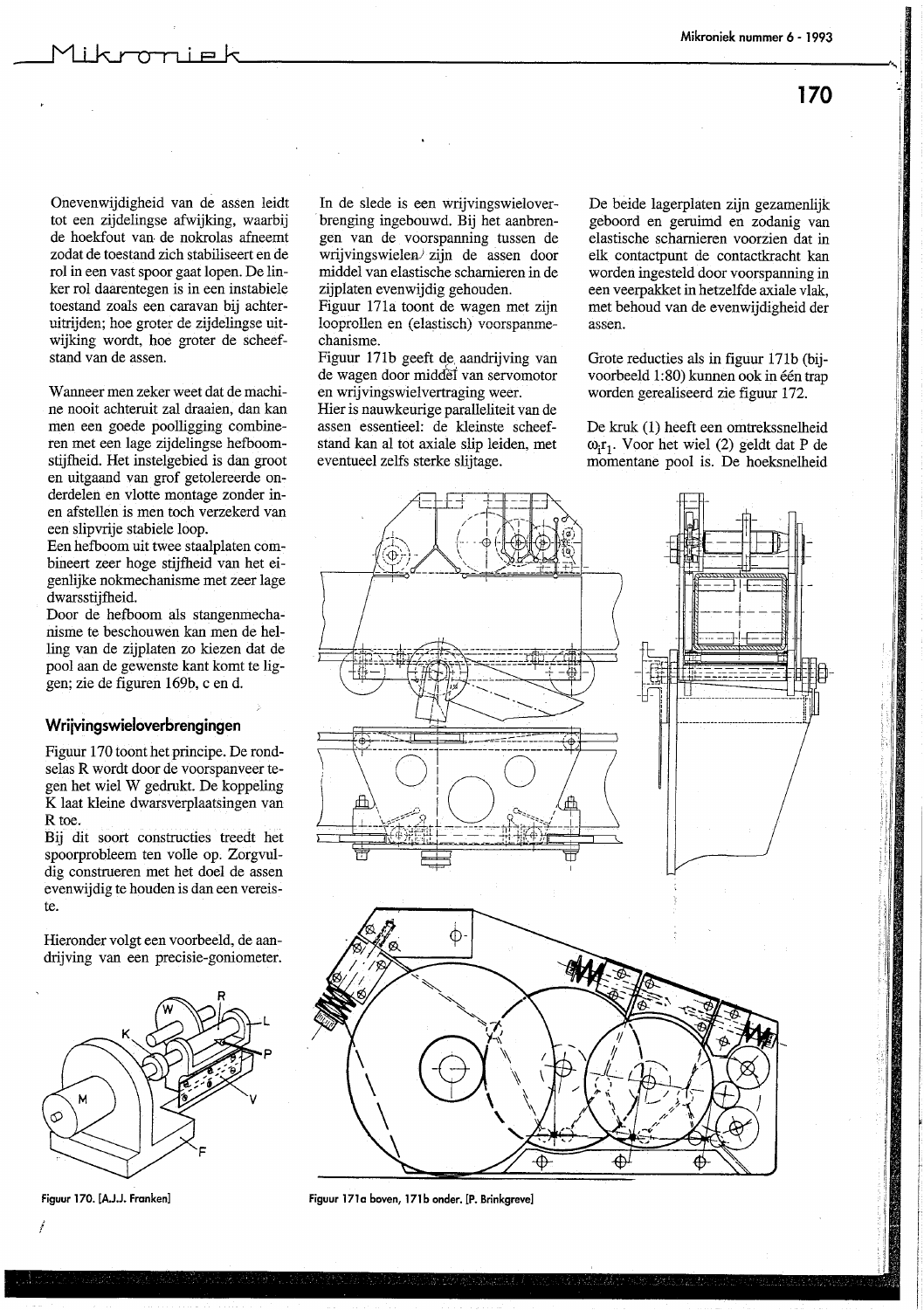170

Onevenwijdigheid van de assen leidt tot een zijdelingse afwijking, waarbij de hoekfout van de nokrolas afneemt zodat de toestand zich stabiliseert en de rol in een vast spoor gaat lopen. De linker rol daarentegen is in een instabiele toestand zoals een caravan bij achteruitrijden; hoe groter de zijdelingse uitwijking wordt, hoe groter de scheefstand van de assen.

Wanneer men zeker weet dat de machine nooit achteruit zal draaien, dan kan men een goede poolligging combineren met een lage zijdelingse hefboomstijfheid. Het instelgebied is dan groot en uitgaand van grof getolereerde onderdelen en vlotte montage zonder inen afstellen is men toch verzekerd van een slipvrije stabiele loop.

Een hefboom uit twee staalplaten combineert zeer hoge stijfheid van het eigenlijke nokmechanisme met zeer lage dwarsstijfheid.

Door de hefboom als stangenmechanisme te beschouwen kan men de helling van de zijplaten zo kiezen dat de pool aan de gewenste kant komt te liggen; zie de figuren 169b, c en d.

#### Wrijvingswieloverbrengingen

Figuur 170 toont het principe. De rondselas R wordt door de voorspanveer tegen het wiel W gedrukt. De koppeling K laat kleine dwarsverplaatsingen van R toe.

Bij dit soort constructies treedt het spoorprobleem ten volle op. Zorgvuldig construeren met het doel de assen evenwijdig te houden is dan een vereiste.

Hieronder volgt een voorbeeld, de aandrijving van een precisie-goniometer.



Figuur 170. [A.J.J. Franken]

In de slede is een wrijvingswieloverbrenging ingebouwd. Bij het aanbrengen van de voorspanning tussen de wrijvingswielen/ zijn de assen door middel van elastische scharnieren in de zijplaten evenwijdig gehouden.

Figuur 171a toont de wagen met zijn looprollen en (elastisch) voorspanmechanisme.

Figuur 171b geeft de aandrijving van de wagen door middel van servomotor en wrijvingswielvertraging weer.

Hier is nauwkeurige paralleliteit van de assen essentieel: de kleinste scheefstand kan al tot axiale slip leiden, met eventueel zelfs sterke slijtage.

De beide lagerplaten zijn gezamenlijk geboord en geruimd en zodanig van elastische scharnieren voorzien dat in elk contactpunt de contactkracht kan worden ingesteld door voorspanning in een veerpakket in hetzelfde axiale vlak, met behoud van de evenwijdigheid der assen.

Grote reducties als in figuur 171b (biivoorbeeld 1:80) kunnen ook in één trap worden gerealiseerd zie figuur 172.

De kruk (1) heeft een omtrekssnelheid  $\omega_1$ r<sub>1</sub>. Voor het wiel (2) geldt dat P de momentane pool is. De hoeksnelheid



Figuur 171a boven, 171b onder. [P. Brinkgreve]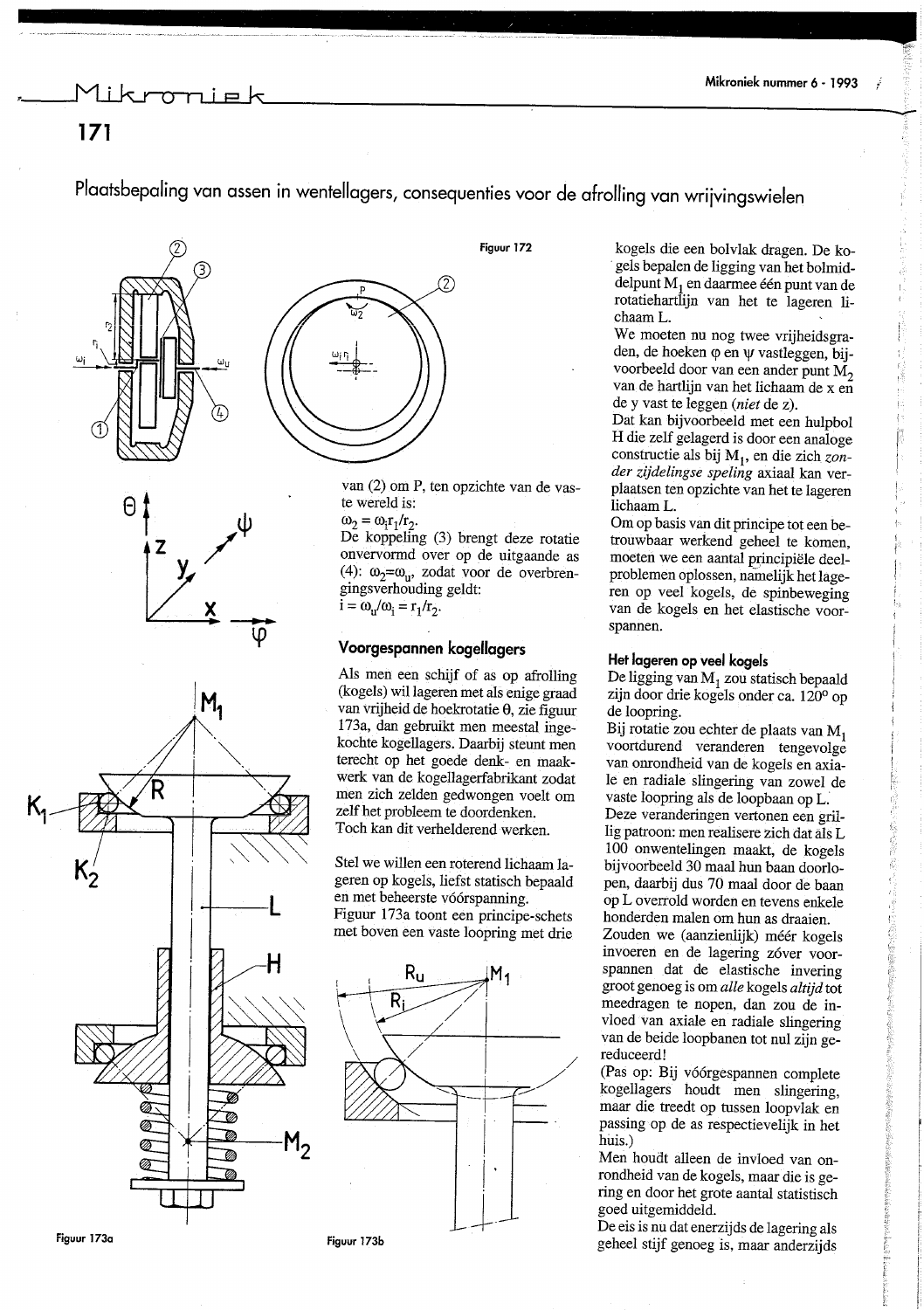### ikroniel

Ř

İά

我的是在 老板 化二甲基苯 化苯胺 医硫酸盐酸盐酸

### $171$

Plaatsbepaling van assen in wentellagers, consequenties voor de afrolling van wrijvingswielen









Figuur 172

van (2) om P, ten opzichte van de vaste wereld is:

 $\omega_2 = \omega_1 r_1/r_2.$ 

De koppeling (3) brengt deze rotatie onvervormd over op de uitgaande as (4):  $\omega_2 = \omega_{\rm u}$ , zodat voor de overbrengingsverhouding geldt:  $i = \omega_{\rm u}/\omega_{\rm i} = r_1/r_2$ .

### Voorgespannen kogellagers

Als men een schijf of as op afrolling (kogels) wil lageren met als enige graad van vrijheid de hoekrotatie  $\theta$ , zie figuur 173a, dan gebruikt men meestal ingekochte kogellagers. Daarbij steunt men terecht op het goede denk- en maakwerk van de kogellagerfabrikant zodat men zich zelden gedwongen voelt om zelf het probleem te doordenken. Toch kan dit verhelderend werken.

Stel we willen een roterend lichaam lageren op kogels, liefst statisch bepaald en met beheerste vóórspanning. Figuur 173a toont een principe-schets met boven een vaste loopring met drie



Figuur 173b

kogels die een bolvlak dragen. De kogels bepalen de ligging van het bolmiddelpunt  $M_1$  en daarmee één punt van de rotatiehartlijn van het te lageren lichaam L.

We moeten nu nog twee vrijheidsgraden, de hoeken  $\varphi$  en  $\psi$  vastleggen, bijvoorbeeld door van een ander punt M<sub>2</sub> van de hartlijn van het lichaam de x en de y vast te leggen (niet de z).

Dat kan bijvoorbeeld met een hulpbol H die zelf gelagerd is door een analoge constructie als bij M<sub>1</sub>, en die zich zonder zijdelingse speling axiaal kan verplaatsen ten opzichte van het te lageren lichaam L.

Om op basis van dit principe tot een betrouwbaar werkend geheel te komen, moeten we een aantal principiële deelproblemen oplossen, namelijk het lageren op veel kogels, de spinbeweging van de kogels en het elastische voorspannen.

#### Het lageren op veel kogels

De ligging van  $M_1$  zou statisch bepaald zijn door drie kogels onder ca. 120° op de loopring.

Bij rotatie zou echter de plaats van M1 voortdurend veranderen tengevolge van onrondheid van de kogels en axiale en radiale slingering van zowel de vaste loopring als de loopbaan op L. Deze veranderingen vertonen een grillig patroon: men realisere zich dat äls L 100 onwentelingen maakt, de kogels bijvoorbeeld 30 maal hun baan doorlopen, daarbij dus 70 maal door de baan op L overrold worden en tevens enkele honderden malen om hun as draaien.

Zouden we (aanzienlijk) méér kogels invoeren en de lagering zóver voorspannen dat de elastische invering groot genoeg is om alle kogels altijd tot meedragen te nopen, dan zou de invloed van axiale en radiale slingering van de beide loopbanen tot nul zijn gereduceerd!

(Pas op: Bij vóórgespannen complete kogellagers houdt men slingering, maar die treedt op tussen loopvlak en passing op de as respectievelijk in het huis.)

Men houdt alleen de invloed van onrondheid van de kogels, maar die is gering en door het grote aantal statistisch goed uitgemiddeld.

De eis is nu dat enerzijds de lagering als geheel stijf genoeg is, maar anderzijds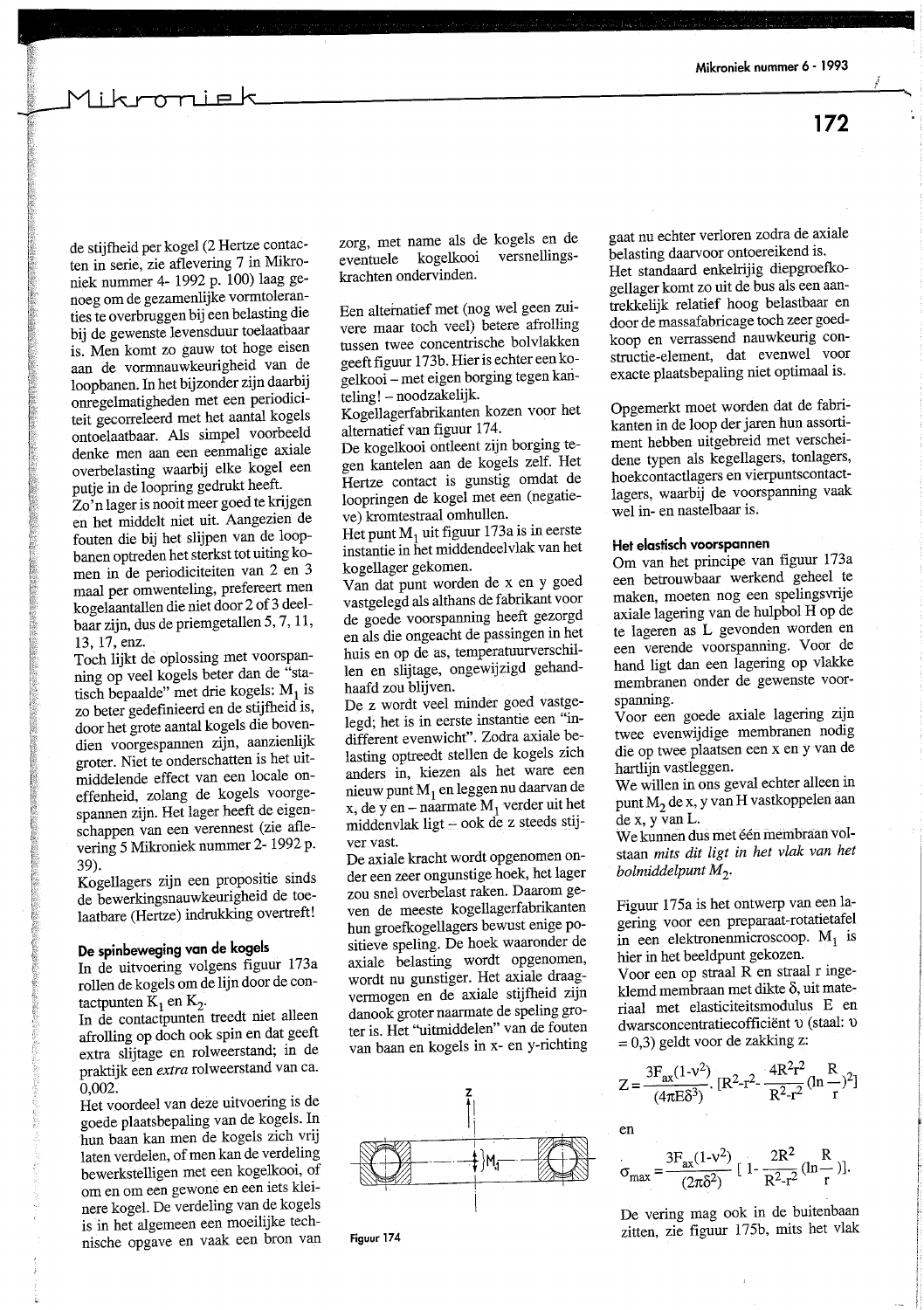172

<del>on</del>ie k

de stijfheid per kogel (2 Hertze contacten in serie, zie aflevering 7 in Mikroniek nummer 4- 1992 p. 100) laag genoeg om de gezamenlijke vormtoleranties te overbruggen bij een belasting die bij de gewenste levensduur toelaatbaar is. Men komt zo gauw tot hoge eisen aan de vormnauwkeurigheid van de loopbanen. In het bijzonder zijn daarbij onregelmatigheden met een periodiciteit gecorreleerd met het aantal kogels ontoelaatbaar. Als simpel voorbeeld denke men aan een eenmalige axiale overbelasting waarbij elke kogel een putje in de loopring gedrukt heeft.

Zo'n lager is nooit meer goed te krijgen en het middelt niet uit. Aangezien de fouten die bij het slijpen van de loopbanen optreden het sterkst tot uiting komen in de periodiciteiten van 2 en 3 maal per omwenteling, prefereert men kogelaantallen die niet door 2 of 3 deelbaar zijn, dus de priemgetallen 5, 7, 11, 13, 17, enz.

Toch lijkt de oplossing met voorspanning op veel kogels beter dan de "statisch bepaalde" met drie kogels: M<sub>1</sub> is zo beter gedefinieerd en de stijfheid is, door het grote aantal kogels die bovendien voorgespannen zijn, aanzienlijk groter. Niet te onderschatten is het uitmiddelende effect van een locale oneffenheid, zolang de kogels voorgespannen zijn. Het lager heeft de eigenschappen van een verennest (zie aflevering 5 Mikroniek nummer 2- 1992 p. 39).

Kogellagers zijn een propositie sinds de bewerkingsnauwkeurigheid de toelaatbare (Hertze) indrukking overtreft!

### De spinbeweging van de kogels

In de uitvoering volgens figuur 173a rollen de kogels om de lijn door de contactpunten  $K_1$  en  $K_2$ .

In de contactpunten treedt niet alleen afrolling op doch ook spin en dat geeft extra slijtage en rolweerstand; in de praktijk een extra rolweerstand van ca.  $0,002.$ 

Het voordeel van deze uitvoering is de goede plaatsbepaling van de kogels. In hun baan kan men de kogels zich vrij laten verdelen, of men kan de verdeling bewerkstelligen met een kogelkooi, of om en om een gewone en een iets kleinere kogel. De verdeling van de kogels is in het algemeen een moeilijke technische opgave en vaak een bron van zorg, met name als de kogels en de versnellingskogelkooi eventuele krachten ondervinden.

Een alternatief met (nog wel geen zuivere maar toch veel) betere afrolling tussen twee concentrische bolvlakken geeft figuur 173b. Hier is echter een kogelkooi – met eigen borging tegen kanteling! - noodzakelijk.

Kogellagerfabrikanten kozen voor het alternatief van figuur 174.

De kogelkooi ontleent zijn borging tegen kantelen aan de kogels zelf. Het Hertze contact is gunstig omdat de loopringen de kogel met een (negatieve) kromtestraal omhullen.

Het punt  $M_1$  uit figuur 173a is in eerste instantie in het middendeelvlak van het kogellager gekomen.

Van dat punt worden de x en y goed vastgelegd als althans de fabrikant voor de goede voorspanning heeft gezorgd en als die ongeacht de passingen in het huis en op de as, temperatuurverschillen en slijtage, ongewijzigd gehandhaafd zou blijven.

De z wordt veel minder goed vastgelegd; het is in eerste instantie een "indifferent evenwicht". Zodra axiale belasting optreedt stellen de kogels zich anders in, kiezen als het ware een nieuw punt M<sub>1</sub> en leggen nu daarvan de x, de y en  $-$  naarmate  $M_1$  verder uit het middenvlak ligt - ook de z steeds stijver vast.

De axiale kracht wordt opgenomen onder een zeer ongunstige hoek, het lager zou snel overbelast raken. Daarom geven de meeste kogellagerfabrikanten hun groefkogellagers bewust enige positieve speling. De hoek waaronder de axiale belasting wordt opgenomen, wordt nu gunstiger. Het axiale draagvermogen en de axiale stijfheid zijn danook groter naarmate de speling groter is. Het "uitmiddelen" van de fouten van baan en kogels in x- en y-richting



Figuur 174

gaat nu echter verloren zodra de axiale belasting daarvoor ontoereikend is. Het standaard enkelrijig diepgroefkogellager komt zo uit de bus als een aantrekkelijk relatief hoog belastbaar en

door de massafabricage toch zeer goedkoop en verrassend nauwkeurig constructie-element, dat evenwel voor exacte plaatsbepaling niet optimaal is.

Opgemerkt moet worden dat de fabrikanten in de loop der jaren hun assortiment hebben uitgebreid met verscheidene typen als kegellagers, tonlagers, hoekcontactlagers en vierpuntscontactlagers, waarbij de voorspanning vaak wel in- en nastelbaar is.

#### Het elastisch voorspannen

Om van het principe van figuur 173a een betrouwbaar werkend geheel te maken, moeten nog een spelingsvrije axiale lagering van de hulpbol H op de te lageren as L gevonden worden en een verende voorspanning. Voor de hand ligt dan een lagering op vlakke membranen onder de gewenste voorspanning.

Voor een goede axiale lagering zijn twee evenwijdige membranen nodig die op twee plaatsen een x en y van de hartlijn vastleggen.

We willen in ons geval echter alleen in punt M<sub>2</sub> de x, y van H vastkoppelen aan  $de$  x, y van L.

We kunnen dus met één membraan volstaan mits dit ligt in het vlak van het bolmiddelpunt  $M_2$ .

Figuur 175a is het ontwerp van een lagering voor een preparaat-rotatietafel in een elektronenmicroscoop.  $M_1$  is hier in het beeldpunt gekozen.

Voor een op straal R en straal r ingeklemd membraan met dikte δ, uit materiaal met elasticiteitsmodulus E en dwarsconcentratiecofficiënt v (staal: v  $= 0.3$ ) geldt voor de zakking z:

$$
Z = \frac{3F_{ax}(1-v^2)}{(4\pi E\delta^3)} \cdot [R^2 - r^2] \cdot \frac{4R^2r^2}{R^2 - r^2} (ln\frac{R}{r})^2]
$$

 $en$ 

$$
\sigma_{\text{max}} = \frac{3F_{ax}(1-v^2)}{(2\pi\delta^2)} \left[ 1 - \frac{2R^2}{R^2-r^2} (\ln\frac{R}{r}) \right].
$$

De vering mag ook in de buitenbaan zitten, zie figuur 175b, mits het vlak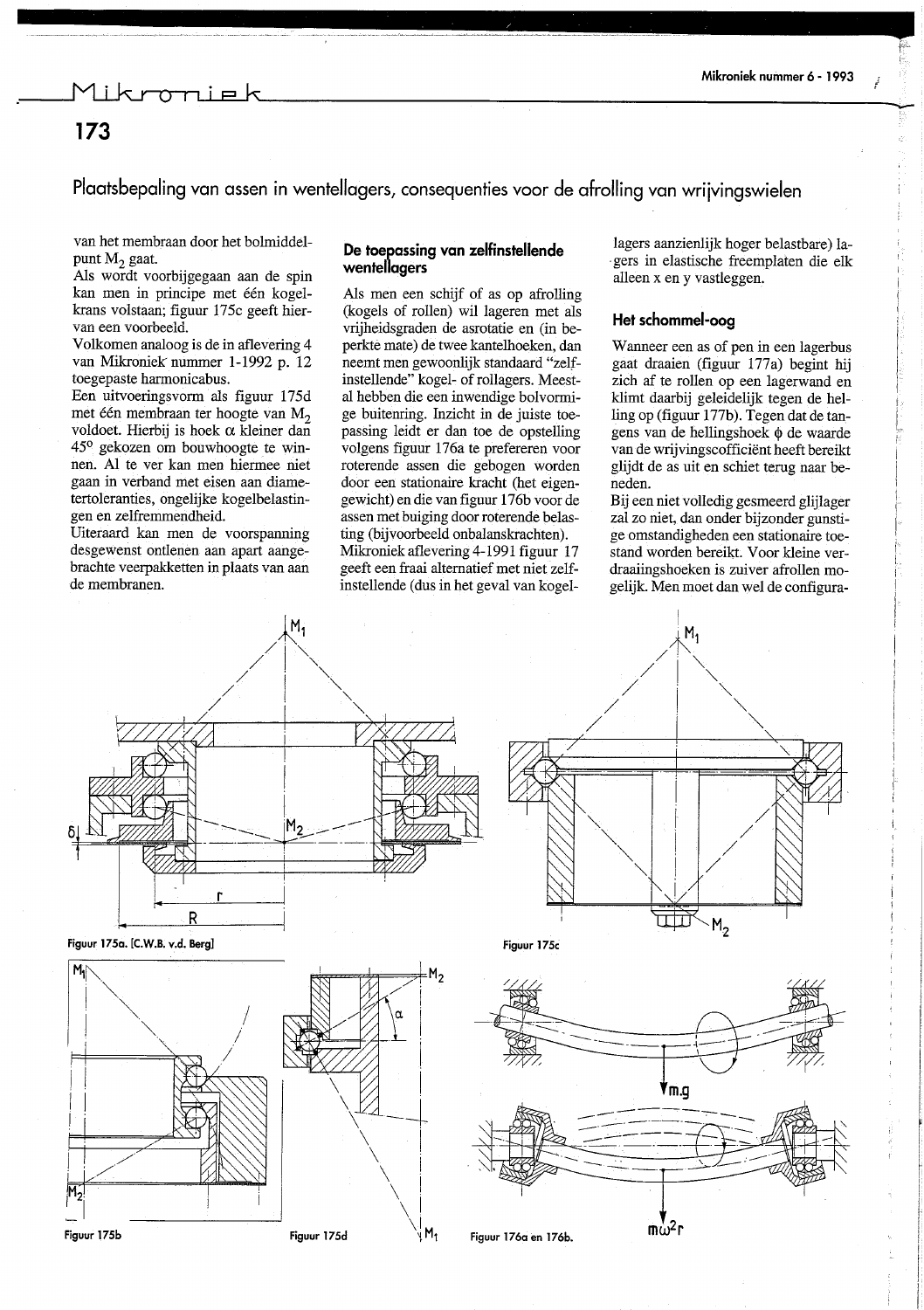### vniel

### 173

Plaatsbepaling van assen in wentellagers, consequenties voor de afrolling van wrijvingswielen

van het membraan door het bolmiddelpunt M<sub>2</sub> gaat.

Als wordt voorbijgegaan aan de spin kan men in principe met één kogelkrans volstaan; figuur 175c geeft hiervan een voorbeeld.

Volkomen analoog is de in aflevering 4 van Mikroniek nummer 1-1992 p. 12 toegepaste harmonicabus.

Een uitvoeringsvorm als figuur 175d met één membraan ter hoogte van  $M_2$ voldoet. Hierbij is hoek  $\alpha$  kleiner dan 45° gekozen om bouwhoogte te winnen. Al te ver kan men hiermee niet gaan in verband met eisen aan diametertoleranties, ongelijke kogelbelastingen en zelfremmendheid.

Uiteraard kan men de voorspanning desgewenst ontlenen aan apart aangebrachte veerpakketten in plaats van aan de membranen.

### De toepassing van zelfinstellende wentellagers

Als men een schijf of as op afrolling (kogels of rollen) wil lageren met als vrijheidsgraden de asrotatie en (in beperkte mate) de twee kantelhoeken, dan neemt men gewoonlijk standaard "zelfinstellende" kogel- of rollagers. Meestal hebben die een inwendige bolvormige buitenring. Inzicht in de juiste toepassing leidt er dan toe de opstelling volgens figuur 176a te prefereren voor roterende assen die gebogen worden door een stationaire kracht (het eigengewicht) en die van figuur 176b voor de assen met buiging door roterende belasting (bijvoorbeeld onbalanskrachten). Mikroniek aflevering 4-1991 figuur 17 geeft een fraai alternatief met niet zelfinstellende (dus in het geval van kogel-

lagers aanzienlijk hoger belastbare) lagers in elastische freemplaten die elk alleen x en y vastleggen.

### Het schommel-oog

Wanneer een as of pen in een lagerbus gaat draaien (figuur 177a) begint hij zich af te rollen op een lagerwand en klimt daarbij geleidelijk tegen de helling op (figuur 177b). Tegen dat de tangens van de hellingshoek φ de waarde van de wrijvingscofficiënt heeft bereikt glijdt de as uit en schiet terug naar beneden.

Bij een niet volledig gesmeerd glijlager zal zo niet, dan onder bijzonder gunstige omstandigheden een stationaire toestand worden bereikt. Voor kleine verdraaiingshoeken is zuiver afrollen mogelijk. Men moet dan wel de configura-